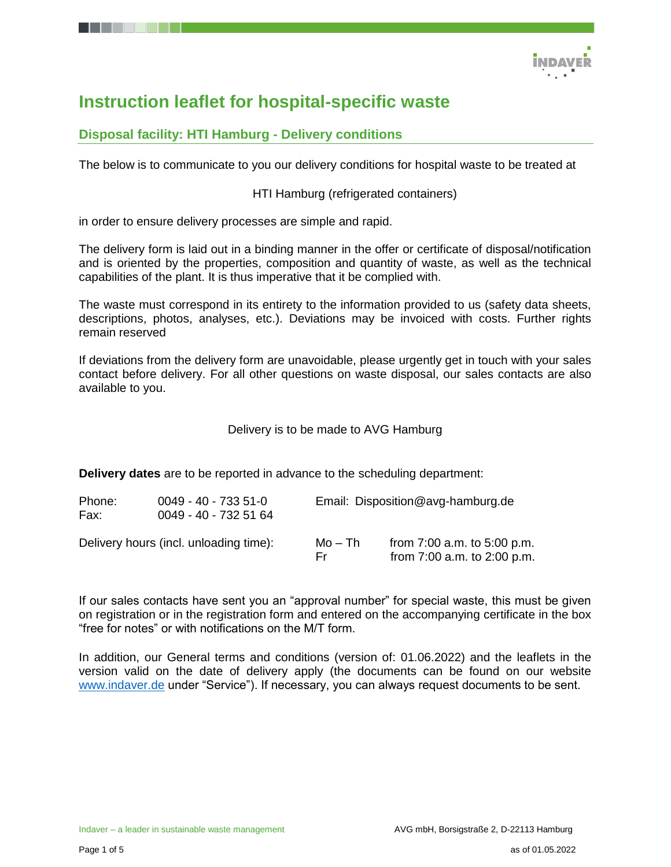

# **Instruction leaflet for hospital-specific waste**

## **Disposal facility: HTI Hamburg - Delivery conditions**

The below is to communicate to you our delivery conditions for hospital waste to be treated at

HTI Hamburg (refrigerated containers)

in order to ensure delivery processes are simple and rapid.

The delivery form is laid out in a binding manner in the offer or certificate of disposal/notification and is oriented by the properties, composition and quantity of waste, as well as the technical capabilities of the plant. It is thus imperative that it be complied with.

The waste must correspond in its entirety to the information provided to us (safety data sheets, descriptions, photos, analyses, etc.). Deviations may be invoiced with costs. Further rights remain reserved

If deviations from the delivery form are unavoidable, please urgently get in touch with your sales contact before delivery. For all other questions on waste disposal, our sales contacts are also available to you.

Delivery is to be made to AVG Hamburg

**Delivery dates** are to be reported in advance to the scheduling department:

| Phone:<br>Fax: | $0049 - 40 - 7335 - 51 - 0$<br>0049 - 40 - 732 51 64 | Email: Disposition@avg-hamburg.de |                                                                |  |
|----------------|------------------------------------------------------|-----------------------------------|----------------------------------------------------------------|--|
|                | Delivery hours (incl. unloading time):               | Mo – Th<br>Er.                    | from $7:00$ a.m. to $5:00$ p.m.<br>from 7:00 a.m. to 2:00 p.m. |  |

If our sales contacts have sent you an "approval number" for special waste, this must be given on registration or in the registration form and entered on the accompanying certificate in the box "free for notes" or with notifications on the M/T form.

In addition, our General terms and conditions (version of: 01.06.2022) and the leaflets in the version valid on the date of delivery apply (the documents can be found on our website [www.indaver.de](http://www.indaver.de/) under "Service"). If necessary, you can always request documents to be sent.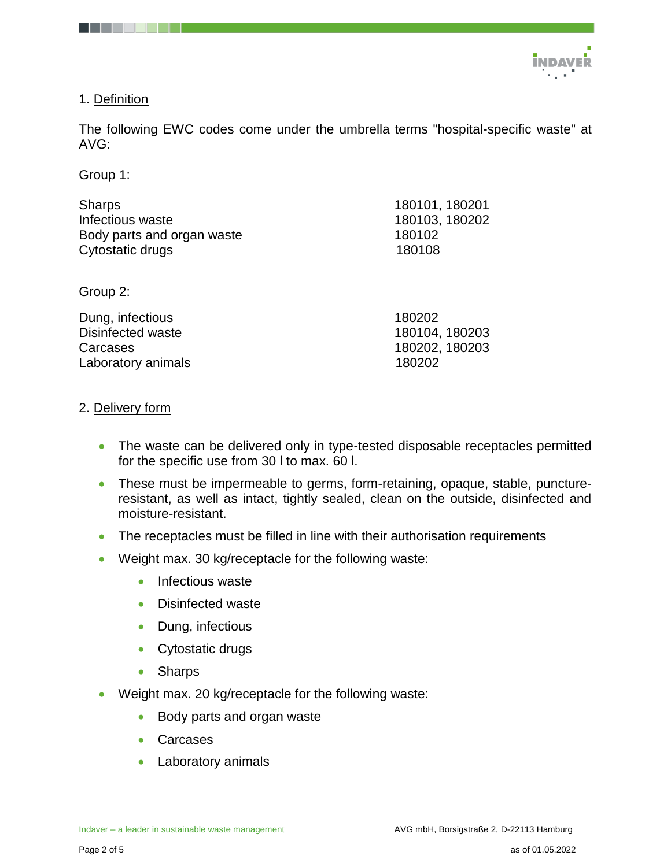

## 1. Definition

The following EWC codes come under the umbrella terms "hospital-specific waste" at AVG:

Group 1:

| <b>Sharps</b>              | 180101, 180201 |
|----------------------------|----------------|
| Infectious waste           | 180103, 180202 |
| Body parts and organ waste | 180102         |
| Cytostatic drugs           | 180108         |
| Group 2:                   |                |
| Dung, infectious           | 180202         |
| <b>Disinfected waste</b>   | 180104, 180203 |
| Carcases                   | 180202, 180203 |

Laboratory animals 180202

### 2. Delivery form

- The waste can be delivered only in type-tested disposable receptacles permitted for the specific use from 30 l to max. 60 l.
- These must be impermeable to germs, form-retaining, opaque, stable, punctureresistant, as well as intact, tightly sealed, clean on the outside, disinfected and moisture-resistant.
- The receptacles must be filled in line with their authorisation requirements
- Weight max. 30 kg/receptacle for the following waste:
	- Infectious waste
	- Disinfected waste
	- Dung, infectious
	- Cytostatic drugs
	- Sharps
- Weight max. 20 kg/receptacle for the following waste:
	- Body parts and organ waste
	- Carcases
	- Laboratory animals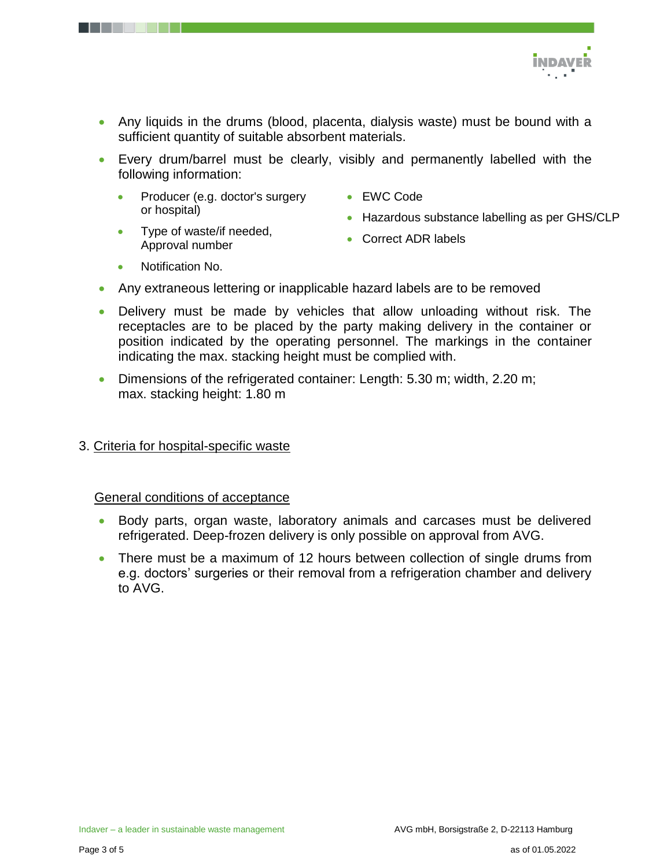

- Any liquids in the drums (blood, placenta, dialysis waste) must be bound with a sufficient quantity of suitable absorbent materials.
- Every drum/barrel must be clearly, visibly and permanently labelled with the following information:
	- Producer (e.g. doctor's surgery or hospital)
	- Type of waste/if needed, Approval number
- EWC Code
- Hazardous substance labelling as per GHS/CLP
- Correct ADR labels

- Notification No.
- Any extraneous lettering or inapplicable hazard labels are to be removed
- Delivery must be made by vehicles that allow unloading without risk. The receptacles are to be placed by the party making delivery in the container or position indicated by the operating personnel. The markings in the container indicating the max. stacking height must be complied with.
- Dimensions of the refrigerated container: Length: 5.30 m; width, 2.20 m; max. stacking height: 1.80 m
- 3. Criteria for hospital-specific waste

#### General conditions of acceptance

- Body parts, organ waste, laboratory animals and carcases must be delivered refrigerated. Deep-frozen delivery is only possible on approval from AVG.
- There must be a maximum of 12 hours between collection of single drums from e.g. doctors' surgeries or their removal from a refrigeration chamber and delivery to AVG.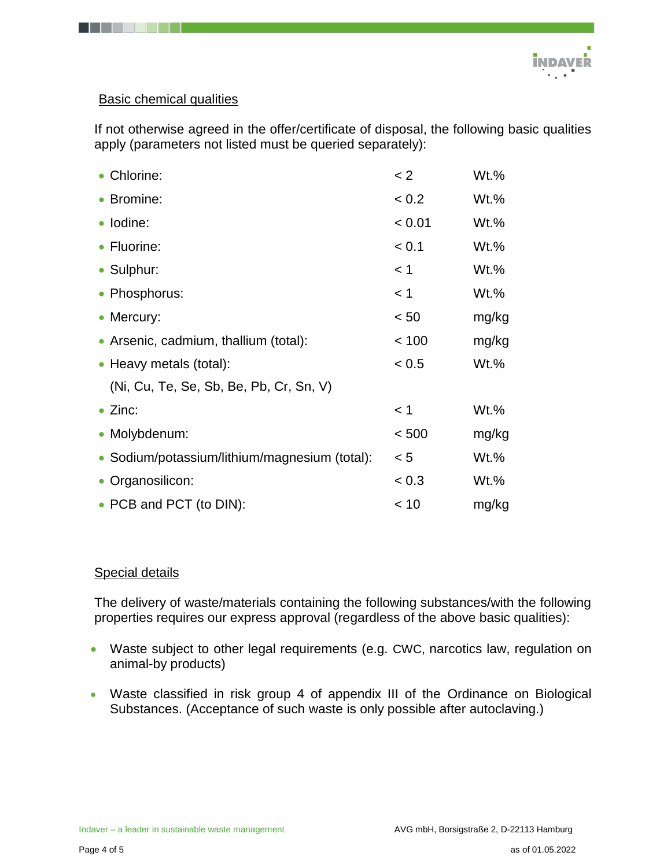

## Basic chemical qualities

If not otherwise agreed in the offer/certificate of disposal, the following basic qualities apply (parameters not listed must be queried separately):

| • Chlorine:                                   | < 2    | $Wt.\%$ |
|-----------------------------------------------|--------|---------|
| • Bromine:                                    | < 0.2  | $Wt.\%$ |
| · Iodine:                                     | < 0.01 | $Wt.\%$ |
| • Fluorine:                                   | < 0.1  | $Wt.\%$ |
| • Sulphur:                                    | < 1    | $Wt.\%$ |
| • Phosphorus:                                 | $<$ 1  | $Wt.\%$ |
| • Mercury:                                    | < 50   | mg/kg   |
| • Arsenic, cadmium, thallium (total):         | < 100  | mg/kg   |
| • Heavy metals (total):                       | < 0.5  | $Wt.\%$ |
| (Ni, Cu, Te, Se, Sb, Be, Pb, Cr, Sn, V)       |        |         |
| $\bullet$ Zinc:                               | < 1    | $Wt.\%$ |
| • Molybdenum:                                 | < 500  | mg/kg   |
| • Sodium/potassium/lithium/magnesium (total): | < 5    | $Wt.\%$ |
| • Organosilicon:                              | < 0.3  | Wt.%    |
| • PCB and PCT (to DIN):                       | < 10   | mg/kg   |

## Special details

The delivery of waste/materials containing the following substances/with the following properties requires our express approval (regardless of the above basic qualities):

- Waste subject to other legal requirements (e.g. CWC, narcotics law, regulation on animal-by products)
- Waste classified in risk group 4 of appendix III of the Ordinance on Biological Substances. (Acceptance of such waste is only possible after autoclaving.)